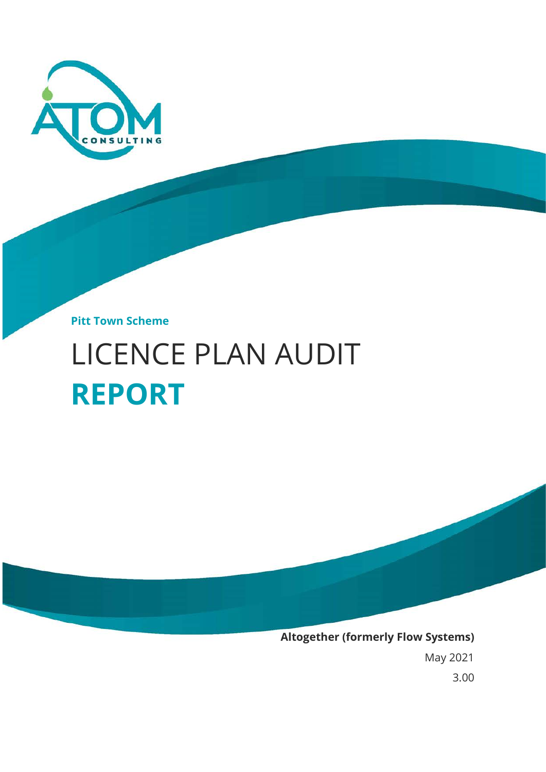

**Pitt Town Scheme**

# LICENCE PLAN AUDIT **REPORT**



May 2021

3.00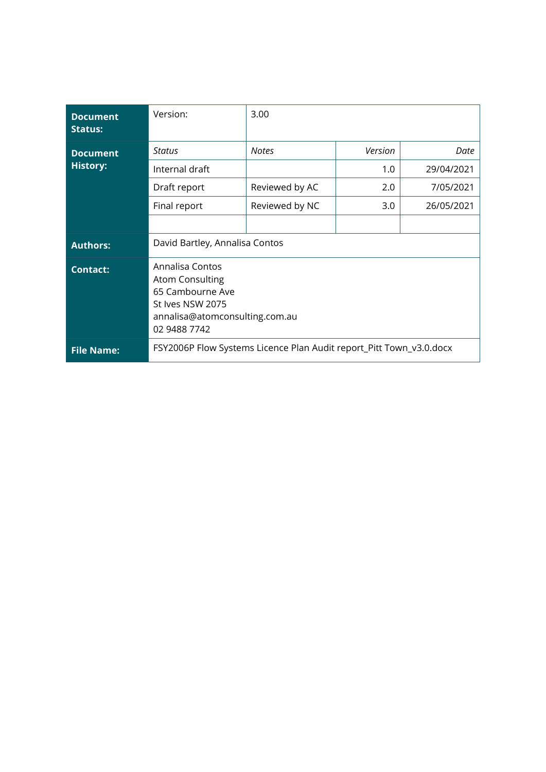| <b>Document</b><br><b>Status:</b> | Version:                                                                                                                            | 3.00                                                                |         |            |
|-----------------------------------|-------------------------------------------------------------------------------------------------------------------------------------|---------------------------------------------------------------------|---------|------------|
| <b>Document</b>                   | Status                                                                                                                              | <b>Notes</b>                                                        | Version | Date       |
| <b>History:</b>                   | Internal draft                                                                                                                      |                                                                     | 1.0     | 29/04/2021 |
|                                   | Draft report                                                                                                                        | Reviewed by AC                                                      | 2.0     | 7/05/2021  |
|                                   | Final report                                                                                                                        | Reviewed by NC                                                      | 3.0     | 26/05/2021 |
|                                   |                                                                                                                                     |                                                                     |         |            |
| <b>Authors:</b>                   | David Bartley, Annalisa Contos                                                                                                      |                                                                     |         |            |
| <b>Contact:</b>                   | Annalisa Contos<br><b>Atom Consulting</b><br>65 Cambourne Ave<br>St Ives NSW 2075<br>annalisa@atomconsulting.com.au<br>02 9488 7742 |                                                                     |         |            |
| <b>File Name:</b>                 |                                                                                                                                     | FSY2006P Flow Systems Licence Plan Audit report_Pitt Town_v3.0.docx |         |            |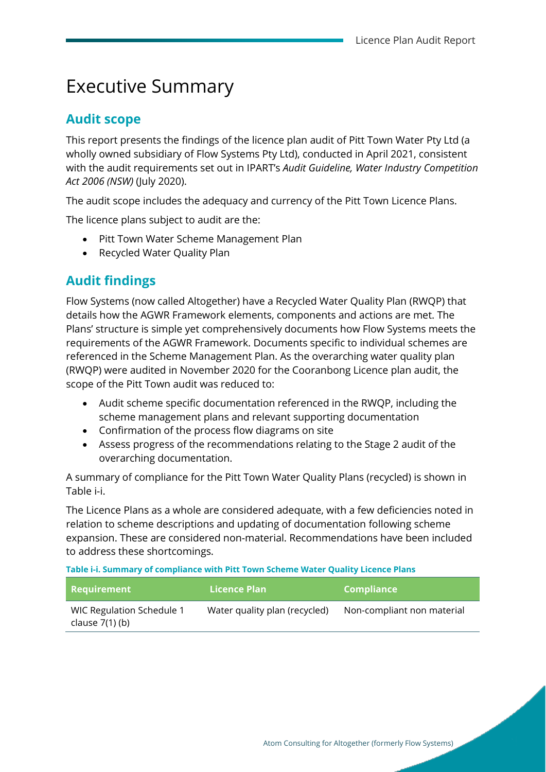### Executive Summary

#### **Audit scope**

This report presents the findings of the licence plan audit of Pitt Town Water Pty Ltd (a wholly owned subsidiary of Flow Systems Pty Ltd), conducted in April 2021, consistent with the audit requirements set out in IPART's *Audit Guideline, Water Industry Competition Act 2006 (NSW)* (July 2020).

The audit scope includes the adequacy and currency of the Pitt Town Licence Plans.

The licence plans subject to audit are the:

- Pitt Town Water Scheme Management Plan
- Recycled Water Quality Plan

### **Audit findings**

Flow Systems (now called Altogether) have a Recycled Water Quality Plan (RWQP) that details how the AGWR Framework elements, components and actions are met. The Plans' structure is simple yet comprehensively documents how Flow Systems meets the requirements of the AGWR Framework. Documents specific to individual schemes are referenced in the Scheme Management Plan. As the overarching water quality plan (RWQP) were audited in November 2020 for the Cooranbong Licence plan audit, the scope of the Pitt Town audit was reduced to:

- Audit scheme specific documentation referenced in the RWQP, including the scheme management plans and relevant supporting documentation
- Confirmation of the process flow diagrams on site
- Assess progress of the recommendations relating to the Stage 2 audit of the overarching documentation.

A summary of compliance for the Pitt Town Water Quality Plans (recycled) is shown in [Table i-i.](#page-2-0)

The Licence Plans as a whole are considered adequate, with a few deficiencies noted in relation to scheme descriptions and updating of documentation following scheme expansion. These are considered non-material. Recommendations have been included to address these shortcomings.

<span id="page-2-0"></span>**Table i-i. Summary of compliance with Pitt Town Scheme Water Quality Licence Plans** 

| Requirement                                    | Licence Plan                  | <b>Compliance</b>          |
|------------------------------------------------|-------------------------------|----------------------------|
| WIC Regulation Schedule 1<br>clause $7(1)$ (b) | Water quality plan (recycled) | Non-compliant non material |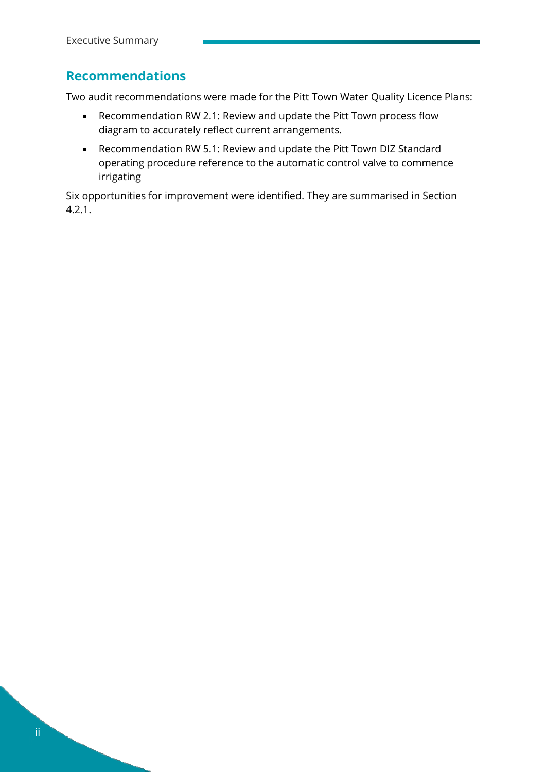### **Recommendations**

Two audit recommendations were made for the Pitt Town Water Quality Licence Plans:

- Recommendation RW 2.1: Review and update the Pitt Town process flow diagram to accurately reflect current arrangements.
- Recommendation RW 5.1: Review and update the Pitt Town DIZ Standard operating procedure reference to the automatic control valve to commence irrigating

Six opportunities for improvement were identified. They are summarised in Section [4.2.1.](#page-26-0)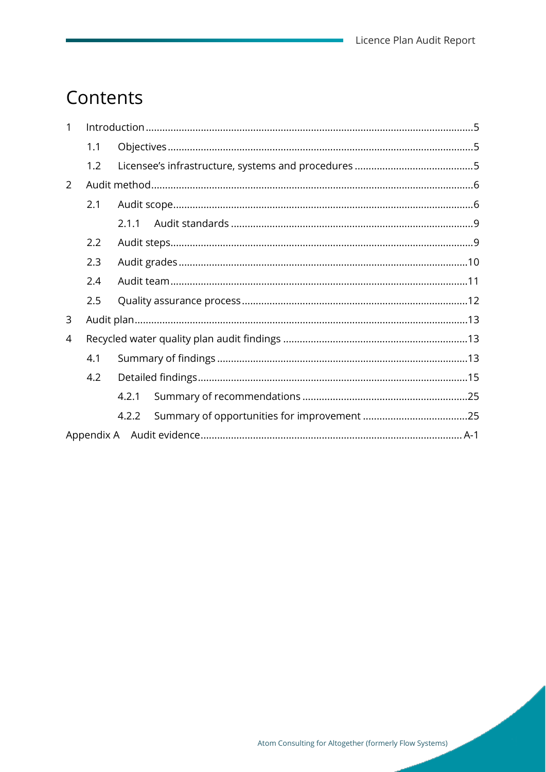$\overline{\phantom{a}}$ 

## Contents

| $\mathbf{1}$   |     |       |  |
|----------------|-----|-------|--|
|                | 1.1 |       |  |
|                | 1.2 |       |  |
| $\overline{2}$ |     |       |  |
|                | 2.1 |       |  |
|                |     | 2.1.1 |  |
|                | 2.2 |       |  |
|                | 2.3 |       |  |
|                | 2.4 |       |  |
|                | 2.5 |       |  |
| 3              |     |       |  |
| 4              |     |       |  |
|                | 4.1 |       |  |
|                | 4.2 |       |  |
|                |     | 4.2.1 |  |
|                |     | 4.2.2 |  |
|                |     |       |  |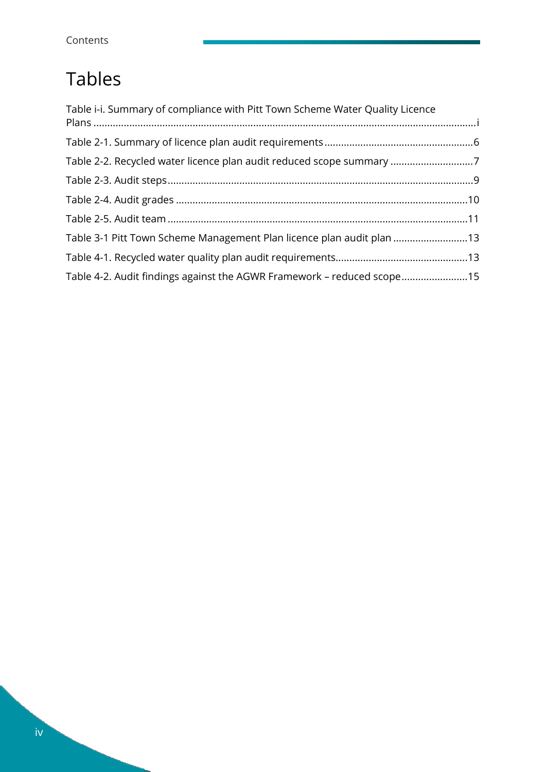## Tables

| Table i-i. Summary of compliance with Pitt Town Scheme Water Quality Licence |  |
|------------------------------------------------------------------------------|--|
|                                                                              |  |
| Table 2-2. Recycled water licence plan audit reduced scope summary 7         |  |
|                                                                              |  |
|                                                                              |  |
|                                                                              |  |
| Table 3-1 Pitt Town Scheme Management Plan licence plan audit plan 13        |  |
|                                                                              |  |
| Table 4-2. Audit findings against the AGWR Framework - reduced scope15       |  |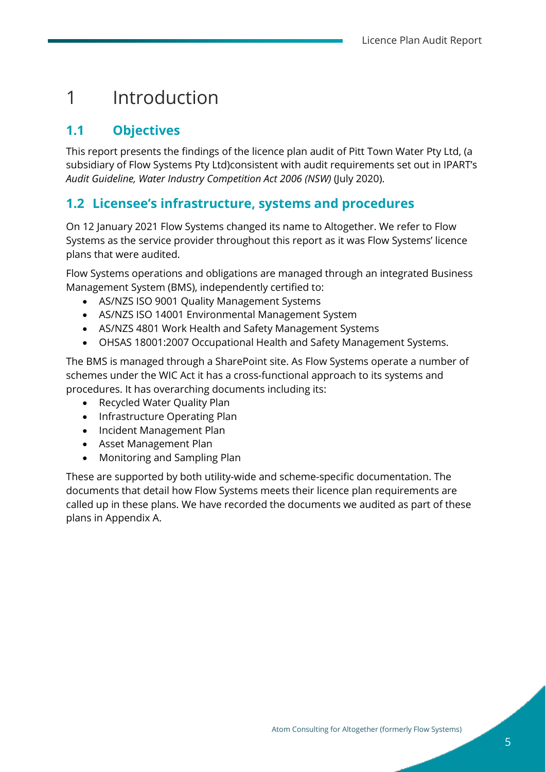### <span id="page-6-0"></span>1 Introduction

### <span id="page-6-1"></span>**1.1 Objectives**

This report presents the findings of the licence plan audit of Pitt Town Water Pty Ltd, (a subsidiary of Flow Systems Pty Ltd)consistent with audit requirements set out in IPART's *Audit Guideline, Water Industry Competition Act 2006 (NSW)* (July 2020).

#### <span id="page-6-2"></span>**1.2 Licensee's infrastructure, systems and procedures**

On 12 January 2021 Flow Systems changed its name to Altogether. We refer to Flow Systems as the service provider throughout this report as it was Flow Systems' licence plans that were audited.

Flow Systems operations and obligations are managed through an integrated Business Management System (BMS), independently certified to:

- AS/NZS ISO 9001 Quality Management Systems
- AS/NZS ISO 14001 Environmental Management System
- AS/NZS 4801 Work Health and Safety Management Systems
- OHSAS 18001:2007 Occupational Health and Safety Management Systems.

The BMS is managed through a SharePoint site. As Flow Systems operate a number of schemes under the WIC Act it has a cross-functional approach to its systems and procedures. It has overarching documents including its:

- Recycled Water Quality Plan
- Infrastructure Operating Plan
- Incident Management Plan
- Asset Management Plan
- Monitoring and Sampling Plan

These are supported by both utility-wide and scheme-specific documentation. The documents that detail how Flow Systems meets their licence plan requirements are called up in these plans. We have recorded the documents we audited as part of these plans in Appendix A.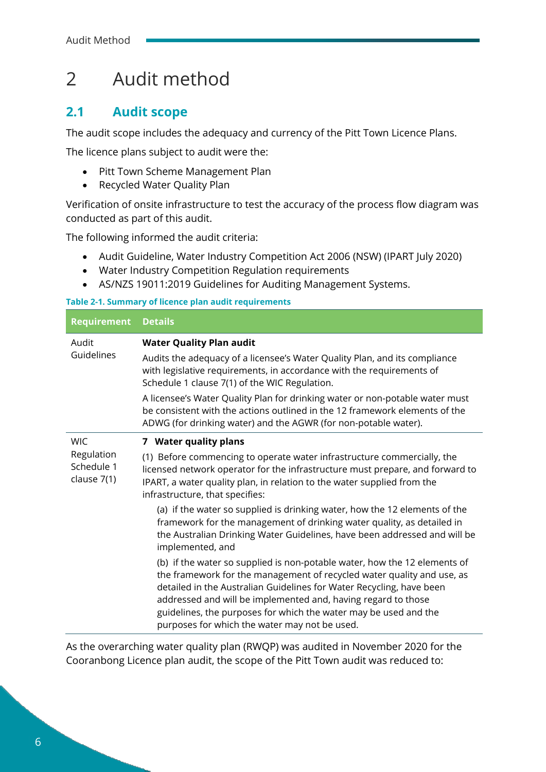### <span id="page-7-0"></span>2 Audit method

#### <span id="page-7-1"></span>**2.1 Audit scope**

The audit scope includes the adequacy and currency of the Pitt Town Licence Plans.

The licence plans subject to audit were the:

- Pitt Town Scheme Management Plan
- Recycled Water Quality Plan

Verification of onsite infrastructure to test the accuracy of the process flow diagram was conducted as part of this audit.

The following informed the audit criteria:

- Audit Guideline, Water Industry Competition Act 2006 (NSW) (IPART July 2020)
- Water Industry Competition Regulation requirements
- AS/NZS 19011:2019 Guidelines for Auditing Management Systems.

<span id="page-7-2"></span>**Table 2-1. Summary of licence plan audit requirements**

| <b>Requirement</b>                      | <b>Details</b>                                                                                                                                                                                                                                                                                                                                                                                                    |  |  |
|-----------------------------------------|-------------------------------------------------------------------------------------------------------------------------------------------------------------------------------------------------------------------------------------------------------------------------------------------------------------------------------------------------------------------------------------------------------------------|--|--|
| Audit                                   | <b>Water Quality Plan audit</b>                                                                                                                                                                                                                                                                                                                                                                                   |  |  |
| Guidelines                              | Audits the adequacy of a licensee's Water Quality Plan, and its compliance<br>with legislative requirements, in accordance with the requirements of<br>Schedule 1 clause 7(1) of the WIC Regulation.                                                                                                                                                                                                              |  |  |
|                                         | A licensee's Water Quality Plan for drinking water or non-potable water must<br>be consistent with the actions outlined in the 12 framework elements of the<br>ADWG (for drinking water) and the AGWR (for non-potable water).                                                                                                                                                                                    |  |  |
| <b>WIC</b>                              | 7 Water quality plans                                                                                                                                                                                                                                                                                                                                                                                             |  |  |
| Regulation<br>Schedule 1<br>clause 7(1) | (1) Before commencing to operate water infrastructure commercially, the<br>licensed network operator for the infrastructure must prepare, and forward to<br>IPART, a water quality plan, in relation to the water supplied from the<br>infrastructure, that specifies:                                                                                                                                            |  |  |
|                                         | (a) if the water so supplied is drinking water, how the 12 elements of the<br>framework for the management of drinking water quality, as detailed in<br>the Australian Drinking Water Guidelines, have been addressed and will be<br>implemented, and                                                                                                                                                             |  |  |
|                                         | (b) if the water so supplied is non-potable water, how the 12 elements of<br>the framework for the management of recycled water quality and use, as<br>detailed in the Australian Guidelines for Water Recycling, have been<br>addressed and will be implemented and, having regard to those<br>guidelines, the purposes for which the water may be used and the<br>purposes for which the water may not be used. |  |  |

As the overarching water quality plan (RWQP) was audited in November 2020 for the Cooranbong Licence plan audit, the scope of the Pitt Town audit was reduced to: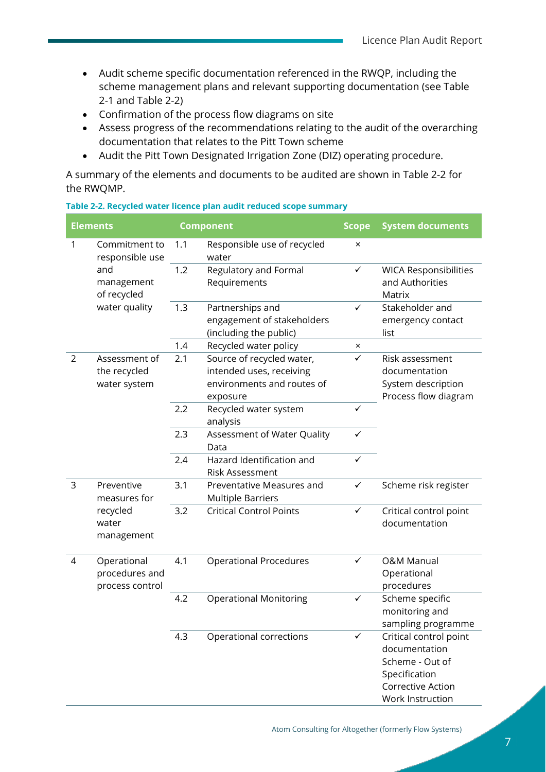- Audit scheme specific documentation referenced in the RWQP, including the scheme management plans and relevant supporting documentation (se[e Table](#page-7-2)  [2-1](#page-7-2) and [Table 2-2\)](#page-8-0)
- Confirmation of the process flow diagrams on site
- Assess progress of the recommendations relating to the audit of the overarching documentation that relates to the Pitt Town scheme
- Audit the Pitt Town Designated Irrigation Zone (DIZ) operating procedure.

A summary of the elements and documents to be audited are shown in [Table 2-2](#page-8-0) for the RWQMP.

<span id="page-8-0"></span>

| Table 2-2. Recycled water licence plan audit reduced scope summary |  |  |  |
|--------------------------------------------------------------------|--|--|--|
|--------------------------------------------------------------------|--|--|--|

|                | <b>Elements</b>                                  |     | <b>Component</b>                                                                                | <b>Scope</b> | <b>System documents</b>                                                                                              |
|----------------|--------------------------------------------------|-----|-------------------------------------------------------------------------------------------------|--------------|----------------------------------------------------------------------------------------------------------------------|
| 1              | Commitment to<br>responsible use                 | 1.1 | Responsible use of recycled<br>water                                                            | $\times$     |                                                                                                                      |
|                | and<br>management<br>of recycled                 | 1.2 | Regulatory and Formal<br>Requirements                                                           | $\checkmark$ | <b>WICA Responsibilities</b><br>and Authorities<br>Matrix                                                            |
|                | water quality                                    | 1.3 | Partnerships and<br>engagement of stakeholders<br>(including the public)                        | $\checkmark$ | Stakeholder and<br>emergency contact<br>list                                                                         |
|                |                                                  | 1.4 | Recycled water policy                                                                           | $\times$     |                                                                                                                      |
| $\overline{2}$ | Assessment of<br>the recycled<br>water system    | 2.1 | Source of recycled water,<br>intended uses, receiving<br>environments and routes of<br>exposure | $\checkmark$ | Risk assessment<br>documentation<br>System description<br>Process flow diagram                                       |
|                |                                                  | 2.2 | Recycled water system<br>analysis                                                               | ✓            |                                                                                                                      |
|                |                                                  | 2.3 | Assessment of Water Quality<br>Data                                                             | $\checkmark$ |                                                                                                                      |
|                |                                                  | 2.4 | Hazard Identification and<br>Risk Assessment                                                    | ✓            |                                                                                                                      |
| 3              | Preventive<br>measures for                       | 3.1 | Preventative Measures and<br><b>Multiple Barriers</b>                                           | ✓            | Scheme risk register                                                                                                 |
|                | recycled<br>water<br>management                  | 3.2 | <b>Critical Control Points</b>                                                                  | ✓            | Critical control point<br>documentation                                                                              |
| 4              | Operational<br>procedures and<br>process control | 4.1 | <b>Operational Procedures</b>                                                                   | ✓            | <b>O&amp;M Manual</b><br>Operational<br>procedures                                                                   |
|                |                                                  | 4.2 | <b>Operational Monitoring</b>                                                                   | $\checkmark$ | Scheme specific<br>monitoring and<br>sampling programme                                                              |
|                |                                                  | 4.3 | Operational corrections                                                                         | ✓            | Critical control point<br>documentation<br>Scheme - Out of<br>Specification<br>Corrective Action<br>Work Instruction |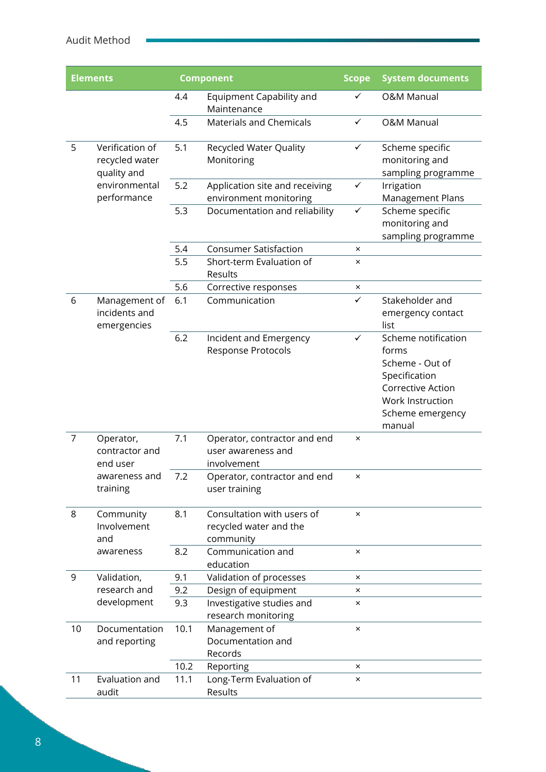| <b>Elements</b> |                                                  |      | <b>Component</b>                                                  | <b>Scope</b><br><b>System documents</b> |                                                                                                                                         |
|-----------------|--------------------------------------------------|------|-------------------------------------------------------------------|-----------------------------------------|-----------------------------------------------------------------------------------------------------------------------------------------|
|                 |                                                  | 4.4  | Equipment Capability and<br>Maintenance                           | ✓                                       | <b>O&amp;M Manual</b>                                                                                                                   |
|                 |                                                  | 4.5  | <b>Materials and Chemicals</b>                                    | ✓                                       | <b>O&amp;M Manual</b>                                                                                                                   |
| 5               | Verification of<br>recycled water<br>quality and | 5.1  | Recycled Water Quality<br>Monitoring                              | $\checkmark$                            | Scheme specific<br>monitoring and<br>sampling programme                                                                                 |
|                 | environmental<br>performance                     | 5.2  | Application site and receiving<br>environment monitoring          | ✓                                       | Irrigation<br><b>Management Plans</b>                                                                                                   |
|                 |                                                  | 5.3  | Documentation and reliability                                     | $\checkmark$                            | Scheme specific<br>monitoring and<br>sampling programme                                                                                 |
|                 |                                                  | 5.4  | <b>Consumer Satisfaction</b>                                      | $\times$                                |                                                                                                                                         |
|                 |                                                  | 5.5  | Short-term Evaluation of<br>Results                               | $\times$                                |                                                                                                                                         |
|                 |                                                  | 5.6  | Corrective responses                                              | ×                                       |                                                                                                                                         |
| 6               | Management of<br>incidents and<br>emergencies    | 6.1  | Communication                                                     | $\checkmark$                            | Stakeholder and<br>emergency contact<br>list                                                                                            |
|                 |                                                  | 6.2  | Incident and Emergency<br>Response Protocols                      | ✓                                       | Scheme notification<br>forms<br>Scheme - Out of<br>Specification<br>Corrective Action<br>Work Instruction<br>Scheme emergency<br>manual |
| 7               | Operator,<br>contractor and<br>end user          | 7.1  | Operator, contractor and end<br>user awareness and<br>involvement | ×                                       |                                                                                                                                         |
|                 | awareness and<br>training                        | 7.2  | Operator, contractor and end<br>user training                     | ×                                       |                                                                                                                                         |
| 8               | Community<br>Involvement<br>and                  | 8.1  | Consultation with users of<br>recycled water and the<br>community | $\times$                                |                                                                                                                                         |
|                 | awareness                                        | 8.2  | Communication and<br>education                                    | $\times$                                |                                                                                                                                         |
| 9               | Validation,                                      | 9.1  | Validation of processes                                           | ×                                       |                                                                                                                                         |
|                 | research and                                     | 9.2  | Design of equipment                                               | $\times$                                |                                                                                                                                         |
|                 | development                                      | 9.3  | Investigative studies and<br>research monitoring                  | ×                                       |                                                                                                                                         |
| 10              | Documentation<br>and reporting                   | 10.1 | Management of<br>Documentation and<br>Records                     | $\times$                                |                                                                                                                                         |
|                 |                                                  | 10.2 | Reporting                                                         | $\times$                                |                                                                                                                                         |
| 11              | Evaluation and<br>audit                          | 11.1 | Long-Term Evaluation of<br>Results                                | $\times$                                |                                                                                                                                         |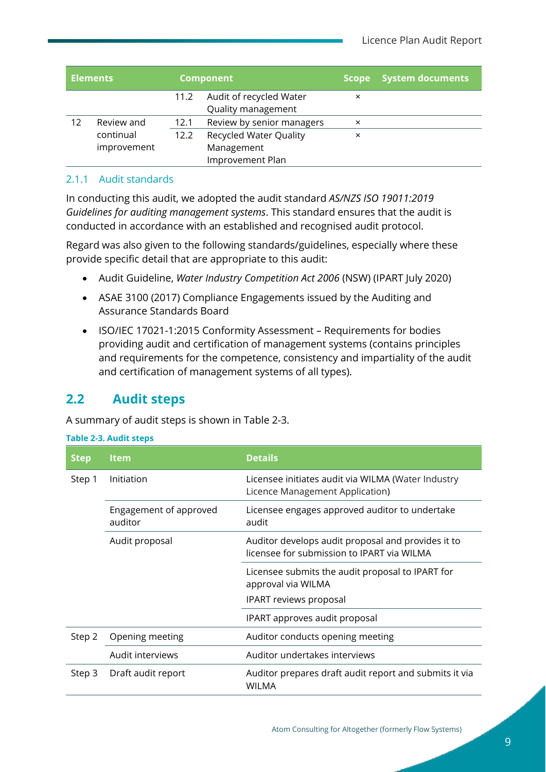|    | <b>Elements</b> |      | <b>Component</b>              | <b>Scope</b> | <b>System documents</b> |
|----|-----------------|------|-------------------------------|--------------|-------------------------|
|    |                 | 11.2 | Audit of recycled Water       | ×            |                         |
|    |                 |      | Quality management            |              |                         |
| 12 | Review and      | 12.1 | Review by senior managers     | $\times$     |                         |
|    | continual       | 12.2 | <b>Recycled Water Quality</b> | ×            |                         |
|    | improvement     |      | Management                    |              |                         |
|    |                 |      | Improvement Plan              |              |                         |

#### <span id="page-10-0"></span>2.1.1 Audit standards

In conducting this audit, we adopted the audit standard *AS/NZS ISO 19011:2019 Guidelines for auditing management systems*. This standard ensures that the audit is conducted in accordance with an established and recognised audit protocol.

Regard was also given to the following standards/guidelines, especially where these provide specific detail that are appropriate to this audit:

- Audit Guideline, *Water Industry Competition Act 2006* (NSW) (IPART July 2020)
- ASAE 3100 (2017) Compliance Engagements issued by the Auditing and Assurance Standards Board
- ISO/IEC 17021-1:2015 Conformity Assessment Requirements for bodies providing audit and certification of management systems (contains principles and requirements for the competence, consistency and impartiality of the audit and certification of management systems of all types).

#### <span id="page-10-1"></span>**2.2 Audit steps**

A summary of audit steps is shown in [Table 2-3.](#page-10-2)

<span id="page-10-2"></span>

| <b>Table 2-3. Audit steps</b> |                                   |                                                                                                  |  |  |
|-------------------------------|-----------------------------------|--------------------------------------------------------------------------------------------------|--|--|
| <b>Step</b>                   | <b>Item</b>                       | <b>Details</b>                                                                                   |  |  |
| Step 1                        | Initiation                        | Licensee initiates audit via WILMA (Water Industry<br>Licence Management Application)            |  |  |
|                               | Engagement of approved<br>auditor | Licensee engages approved auditor to undertake<br>audit                                          |  |  |
|                               | Audit proposal                    | Auditor develops audit proposal and provides it to<br>licensee for submission to IPART via WILMA |  |  |
|                               |                                   | Licensee submits the audit proposal to IPART for<br>approval via WILMA                           |  |  |
|                               |                                   | <b>IPART</b> reviews proposal                                                                    |  |  |
|                               |                                   | IPART approves audit proposal                                                                    |  |  |
| Step 2                        | Opening meeting                   | Auditor conducts opening meeting                                                                 |  |  |
|                               | Audit interviews                  | Auditor undertakes interviews                                                                    |  |  |
| Step 3                        | Draft audit report                | Auditor prepares draft audit report and submits it via<br><b>WILMA</b>                           |  |  |

Atom Consulting for Altogether (formerly Flow Systems)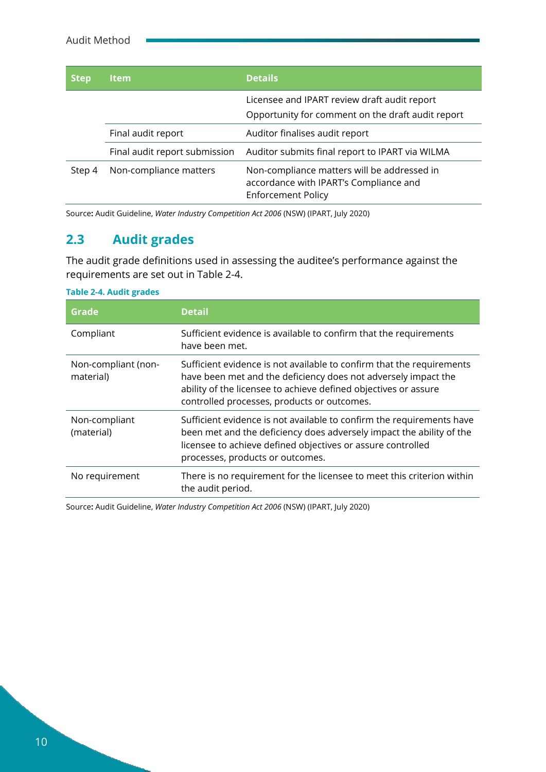| <b>Step</b> | <b>Item</b>                   | <b>Details</b>                                                                                                     |
|-------------|-------------------------------|--------------------------------------------------------------------------------------------------------------------|
|             |                               | Licensee and IPART review draft audit report<br>Opportunity for comment on the draft audit report                  |
|             | Final audit report            | Auditor finalises audit report                                                                                     |
|             | Final audit report submission | Auditor submits final report to IPART via WILMA                                                                    |
| Step 4      | Non-compliance matters        | Non-compliance matters will be addressed in<br>accordance with IPART's Compliance and<br><b>Enforcement Policy</b> |

Source**:** Audit Guideline, *Water Industry Competition Act 2006* (NSW) (IPART, July 2020)

### <span id="page-11-0"></span>**2.3 Audit grades**

The audit grade definitions used in assessing the auditee's performance against the requirements are set out in [Table 2-4.](#page-11-1)

| Grade                            | <b>Detail</b>                                                                                                                                                                                                                                             |
|----------------------------------|-----------------------------------------------------------------------------------------------------------------------------------------------------------------------------------------------------------------------------------------------------------|
| Compliant                        | Sufficient evidence is available to confirm that the requirements<br>have been met.                                                                                                                                                                       |
| Non-compliant (non-<br>material) | Sufficient evidence is not available to confirm that the requirements<br>have been met and the deficiency does not adversely impact the<br>ability of the licensee to achieve defined objectives or assure<br>controlled processes, products or outcomes. |
| Non-compliant<br>(material)      | Sufficient evidence is not available to confirm the requirements have<br>been met and the deficiency does adversely impact the ability of the<br>licensee to achieve defined objectives or assure controlled<br>processes, products or outcomes.          |
| No requirement                   | There is no requirement for the licensee to meet this criterion within<br>the audit period.                                                                                                                                                               |

<span id="page-11-1"></span>

|  | <b>Table 2-4. Audit grades</b> |
|--|--------------------------------|
|  |                                |

Source**:** Audit Guideline, *Water Industry Competition Act 2006* (NSW) (IPART, July 2020)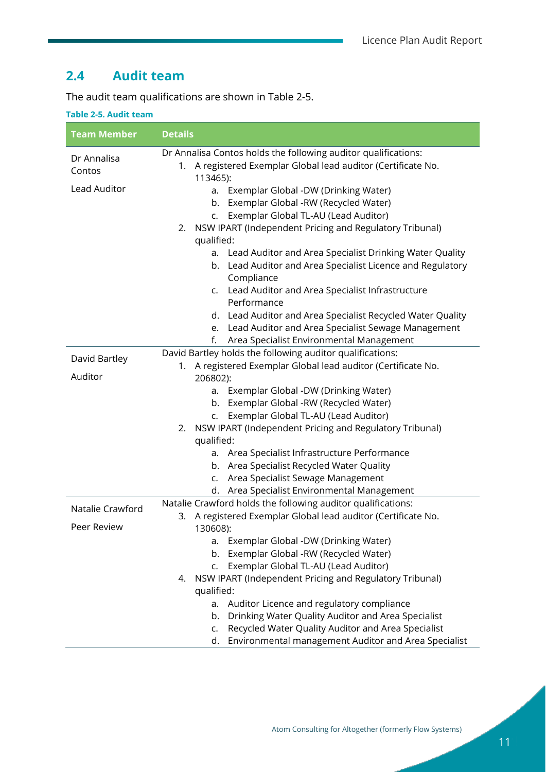#### <span id="page-12-0"></span>**2.4 Audit team**

The audit team qualifications are shown in [Table 2-5.](#page-12-1)

#### <span id="page-12-1"></span>**Table 2-5. Audit team**

| <b>Team Member</b>                    | <b>Details</b>                                                                                                                                                                                                                                                                                 |  |
|---------------------------------------|------------------------------------------------------------------------------------------------------------------------------------------------------------------------------------------------------------------------------------------------------------------------------------------------|--|
| Dr Annalisa<br>Contos<br>Lead Auditor | Dr Annalisa Contos holds the following auditor qualifications:<br>1. A registered Exemplar Global lead auditor (Certificate No.<br>113465):<br>a. Exemplar Global -DW (Drinking Water)<br>Exemplar Global -RW (Recycled Water)<br>b.<br>Exemplar Global TL-AU (Lead Auditor)<br>$\mathsf{C}$ . |  |
|                                       | NSW IPART (Independent Pricing and Regulatory Tribunal)<br>2.<br>qualified:                                                                                                                                                                                                                    |  |
|                                       | a. Lead Auditor and Area Specialist Drinking Water Quality<br>b. Lead Auditor and Area Specialist Licence and Regulatory<br>Compliance<br>c. Lead Auditor and Area Specialist Infrastructure<br>Performance                                                                                    |  |
|                                       | d. Lead Auditor and Area Specialist Recycled Water Quality<br>e. Lead Auditor and Area Specialist Sewage Management<br>Area Specialist Environmental Management<br>f.                                                                                                                          |  |
| David Bartley                         | David Bartley holds the following auditor qualifications:<br>1. A registered Exemplar Global lead auditor (Certificate No.                                                                                                                                                                     |  |
| Auditor                               | 206802):                                                                                                                                                                                                                                                                                       |  |
|                                       | Exemplar Global -DW (Drinking Water)<br>a.<br>b. Exemplar Global -RW (Recycled Water)<br>c. Exemplar Global TL-AU (Lead Auditor)                                                                                                                                                               |  |
|                                       | NSW IPART (Independent Pricing and Regulatory Tribunal)<br>2.                                                                                                                                                                                                                                  |  |
|                                       | qualified:                                                                                                                                                                                                                                                                                     |  |
|                                       | a. Area Specialist Infrastructure Performance                                                                                                                                                                                                                                                  |  |
|                                       | b. Area Specialist Recycled Water Quality                                                                                                                                                                                                                                                      |  |
|                                       | Area Specialist Sewage Management<br>$\mathsf{C}$ .                                                                                                                                                                                                                                            |  |
|                                       | d. Area Specialist Environmental Management                                                                                                                                                                                                                                                    |  |
| Natalie Crawford                      | Natalie Crawford holds the following auditor qualifications:<br>A registered Exemplar Global lead auditor (Certificate No.                                                                                                                                                                     |  |
| Peer Review                           | 3.<br>130608):                                                                                                                                                                                                                                                                                 |  |
|                                       | Exemplar Global -DW (Drinking Water)<br>a.                                                                                                                                                                                                                                                     |  |
|                                       | Exemplar Global -RW (Recycled Water)<br>b.                                                                                                                                                                                                                                                     |  |
|                                       | Exemplar Global TL-AU (Lead Auditor)<br>c.                                                                                                                                                                                                                                                     |  |
|                                       | NSW IPART (Independent Pricing and Regulatory Tribunal)<br>4.                                                                                                                                                                                                                                  |  |
|                                       | qualified:                                                                                                                                                                                                                                                                                     |  |
|                                       | Auditor Licence and regulatory compliance<br>a.                                                                                                                                                                                                                                                |  |
|                                       | Drinking Water Quality Auditor and Area Specialist<br>b.                                                                                                                                                                                                                                       |  |
|                                       | Recycled Water Quality Auditor and Area Specialist<br>C.                                                                                                                                                                                                                                       |  |
|                                       | Environmental management Auditor and Area Specialist<br>d.                                                                                                                                                                                                                                     |  |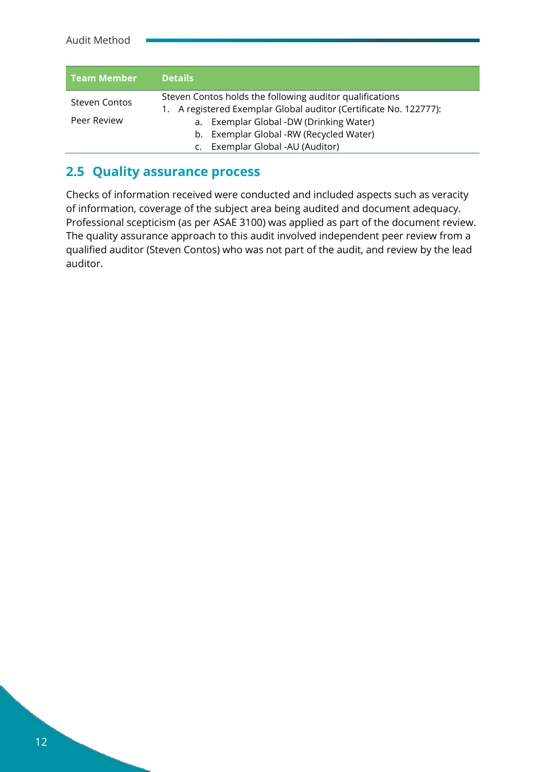| <b>Team Member</b> | <b>Details</b>                                                                                                             |
|--------------------|----------------------------------------------------------------------------------------------------------------------------|
| Steven Contos      | Steven Contos holds the following auditor qualifications<br>A registered Exemplar Global auditor (Certificate No. 122777): |
| Peer Review        | Exemplar Global -DW (Drinking Water)<br>a.<br>Exemplar Global -RW (Recycled Water)<br>b.                                   |
|                    | Exemplar Global -AU (Auditor)                                                                                              |

#### <span id="page-13-0"></span>**2.5 Quality assurance process**

Checks of information received were conducted and included aspects such as veracity of information, coverage of the subject area being audited and document adequacy. Professional scepticism (as per ASAE 3100) was applied as part of the document review. The quality assurance approach to this audit involved independent peer review from a qualified auditor (Steven Contos) who was not part of the audit, and review by the lead auditor.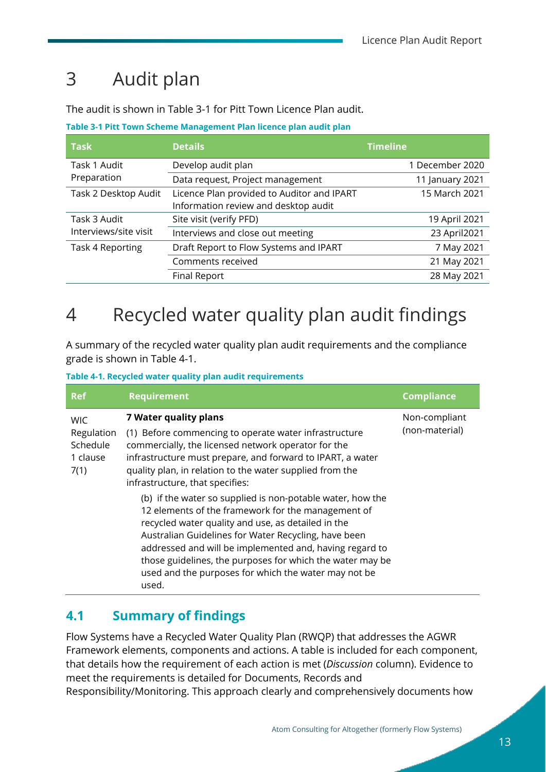## <span id="page-14-0"></span>3 Audit plan

The audit is shown in [Table 3-1](#page-14-3) for Pitt Town Licence Plan audit.

<span id="page-14-3"></span>**Table 3-1 Pitt Town Scheme Management Plan licence plan audit plan**

| <b>Task</b>           | <b>Details</b>                             | <b>Timeline</b> |
|-----------------------|--------------------------------------------|-----------------|
| Task 1 Audit          | Develop audit plan                         | 1 December 2020 |
| Preparation           | Data request, Project management           | 11 January 2021 |
| Task 2 Desktop Audit  | Licence Plan provided to Auditor and IPART | 15 March 2021   |
|                       | Information review and desktop audit       |                 |
| Task 3 Audit          | Site visit (verify PFD)                    | 19 April 2021   |
| Interviews/site visit | Interviews and close out meeting           | 23 April 2021   |
| Task 4 Reporting      | Draft Report to Flow Systems and IPART     | 7 May 2021      |
|                       | Comments received                          | 21 May 2021     |
|                       | Final Report                               | 28 May 2021     |

## <span id="page-14-1"></span>4 Recycled water quality plan audit findings

A summary of the recycled water quality plan audit requirements and the compliance grade is shown in [Table 4-1.](#page-14-4)

<span id="page-14-4"></span>**Table 4-1. Recycled water quality plan audit requirements**

| <b>Ref</b>                                               | <b>Requirement</b>                                                                                                                                                                                                                                                                                                                                                                                                      | <b>Compliance</b>               |  |
|----------------------------------------------------------|-------------------------------------------------------------------------------------------------------------------------------------------------------------------------------------------------------------------------------------------------------------------------------------------------------------------------------------------------------------------------------------------------------------------------|---------------------------------|--|
| <b>WIC</b><br>Regulation<br>Schedule<br>1 clause<br>7(1) | <b>7 Water quality plans</b><br>(1) Before commencing to operate water infrastructure<br>commercially, the licensed network operator for the<br>infrastructure must prepare, and forward to IPART, a water<br>quality plan, in relation to the water supplied from the<br>infrastructure, that specifies:                                                                                                               | Non-compliant<br>(non-material) |  |
|                                                          | (b) if the water so supplied is non-potable water, how the<br>12 elements of the framework for the management of<br>recycled water quality and use, as detailed in the<br>Australian Guidelines for Water Recycling, have been<br>addressed and will be implemented and, having regard to<br>those guidelines, the purposes for which the water may be<br>used and the purposes for which the water may not be<br>used. |                                 |  |

### <span id="page-14-2"></span>**4.1 Summary of findings**

Flow Systems have a Recycled Water Quality Plan (RWQP) that addresses the AGWR Framework elements, components and actions. A table is included for each component, that details how the requirement of each action is met (*Discussion* column). Evidence to meet the requirements is detailed for Documents, Records and Responsibility/Monitoring. This approach clearly and comprehensively documents how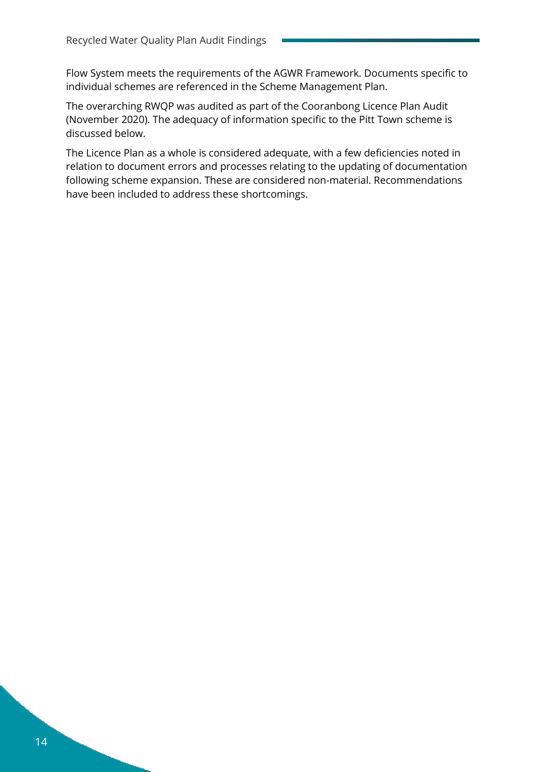Flow System meets the requirements of the AGWR Framework. Documents specific to individual schemes are referenced in the Scheme Management Plan.

The overarching RWQP was audited as part of the Cooranbong Licence Plan Audit (November 2020). The adequacy of information specific to the Pitt Town scheme is discussed below.

The Licence Plan as a whole is considered adequate, with a few deficiencies noted in relation to document errors and processes relating to the updating of documentation following scheme expansion. These are considered non-material. Recommendations have been included to address these shortcomings.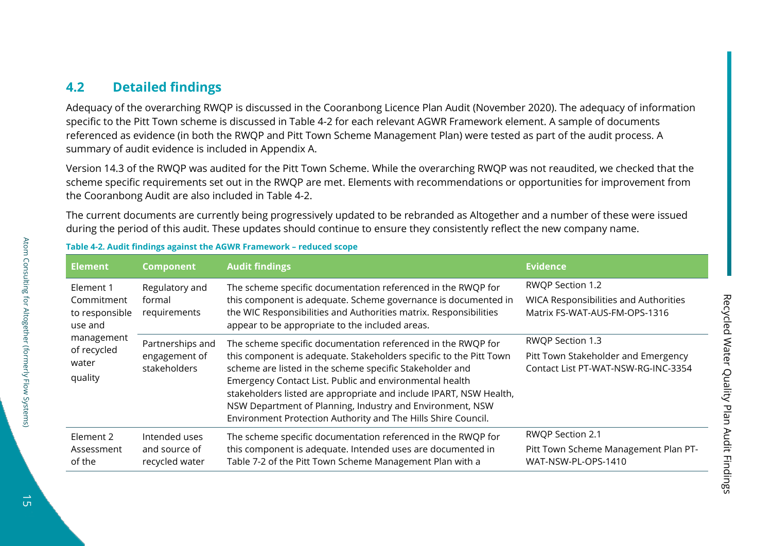#### **4.2 Detailed findings**

Adequacy of the overarching RWQP is discussed in the Cooranbong Licence Plan Audit (November 2020). The adequacy of information specific to the Pitt Town scheme is discussed in [Table 4-2](#page-16-1) for each relevant AGWR Framework element. A sample of documents referenced as evidence (in both the RWQP and Pitt Town Scheme Management Plan) were tested as part of the audit process. A summary of audit evidence is included in [Appendix A.](#page-28-1)

Version 14.3 of the RWQP was audited for the Pitt Town Scheme. While the overarching RWQP was not reaudited, we checked that the scheme specific requirements set out in the RWQP are met. Elements with recommendations or opportunities for improvement from the Cooranbong Audit are also included in [Table 4-2.](#page-16-1)

The current documents are currently being progressively updated to be rebranded as Altogether and a number of these were issued during the period of this audit. These updates should continue to ensure they consistently reflect the new company name.

<span id="page-16-0"></span>

| <b>Element</b>                                                                                        | <b>Component</b>                                  | <b>Audit findings</b>                                                                                                                                                                                                                                                                                                                                                                                                                                         | <b>Evidence</b>                                                                                   |
|-------------------------------------------------------------------------------------------------------|---------------------------------------------------|---------------------------------------------------------------------------------------------------------------------------------------------------------------------------------------------------------------------------------------------------------------------------------------------------------------------------------------------------------------------------------------------------------------------------------------------------------------|---------------------------------------------------------------------------------------------------|
| Element 1<br>Commitment<br>to responsible<br>use and<br>management<br>of recycled<br>water<br>quality | Regulatory and<br>formal<br>requirements          | The scheme specific documentation referenced in the RWQP for<br>this component is adequate. Scheme governance is documented in<br>the WIC Responsibilities and Authorities matrix. Responsibilities<br>appear to be appropriate to the included areas.                                                                                                                                                                                                        | RWQP Section 1.2<br><b>WICA Responsibilities and Authorities</b><br>Matrix FS-WAT-AUS-FM-OPS-1316 |
|                                                                                                       | Partnerships and<br>engagement of<br>stakeholders | The scheme specific documentation referenced in the RWQP for<br>this component is adequate. Stakeholders specific to the Pitt Town<br>scheme are listed in the scheme specific Stakeholder and<br>Emergency Contact List. Public and environmental health<br>stakeholders listed are appropriate and include IPART, NSW Health,<br>NSW Department of Planning, Industry and Environment, NSW<br>Environment Protection Authority and The Hills Shire Council. | RWQP Section 1.3<br>Pitt Town Stakeholder and Emergency<br>Contact List PT-WAT-NSW-RG-INC-3354    |
| Element 2<br>Assessment<br>of the                                                                     | Intended uses<br>and source of<br>recycled water  | The scheme specific documentation referenced in the RWQP for<br>this component is adequate. Intended uses are documented in<br>Table 7-2 of the Pitt Town Scheme Management Plan with a                                                                                                                                                                                                                                                                       | RWQP Section 2.1<br>Pitt Town Scheme Management Plan PT-<br>WAT-NSW-PL-OPS-1410                   |

#### <span id="page-16-1"></span>**Table 4-2. Audit findings against the AGWR Framework – reduced scope**

Atom Consulting for Altogether (formerly Flow Systems)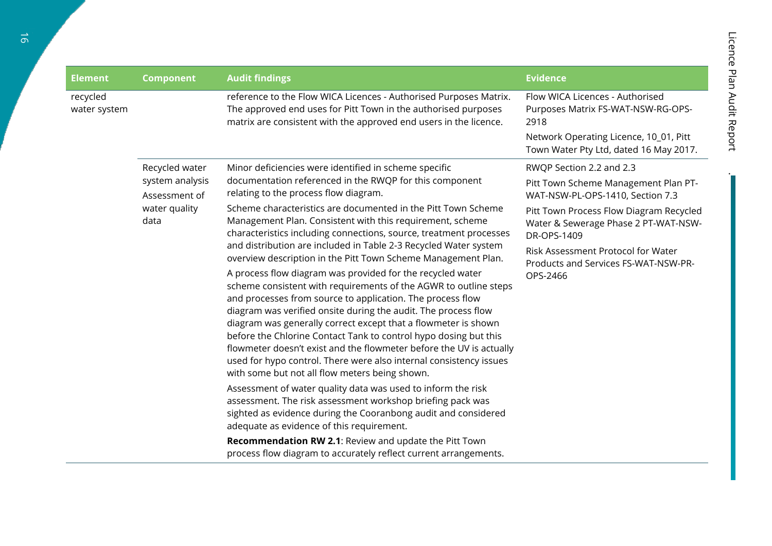| <b>Element</b>           | <b>Component</b>                                          | <b>Audit findings</b>                                                                                                                                                                                                                                                                                                                                                                                                                                                                                                                                                                               | <b>Evidence</b>                                                                                |
|--------------------------|-----------------------------------------------------------|-----------------------------------------------------------------------------------------------------------------------------------------------------------------------------------------------------------------------------------------------------------------------------------------------------------------------------------------------------------------------------------------------------------------------------------------------------------------------------------------------------------------------------------------------------------------------------------------------------|------------------------------------------------------------------------------------------------|
| recycled<br>water system |                                                           | reference to the Flow WICA Licences - Authorised Purposes Matrix.<br>The approved end uses for Pitt Town in the authorised purposes<br>matrix are consistent with the approved end users in the licence.                                                                                                                                                                                                                                                                                                                                                                                            | Flow WICA Licences - Authorised<br>Purposes Matrix FS-WAT-NSW-RG-OPS-<br>2918                  |
|                          |                                                           |                                                                                                                                                                                                                                                                                                                                                                                                                                                                                                                                                                                                     | Network Operating Licence, 10_01, Pitt<br>Town Water Pty Ltd, dated 16 May 2017.               |
|                          | Recycled water                                            | Minor deficiencies were identified in scheme specific                                                                                                                                                                                                                                                                                                                                                                                                                                                                                                                                               | RWQP Section 2.2 and 2.3                                                                       |
|                          | system analysis<br>Assessment of<br>water quality<br>data | documentation referenced in the RWQP for this component<br>relating to the process flow diagram.                                                                                                                                                                                                                                                                                                                                                                                                                                                                                                    | Pitt Town Scheme Management Plan PT-<br>WAT-NSW-PL-OPS-1410, Section 7.3                       |
|                          |                                                           | Scheme characteristics are documented in the Pitt Town Scheme<br>Management Plan. Consistent with this requirement, scheme<br>characteristics including connections, source, treatment processes                                                                                                                                                                                                                                                                                                                                                                                                    | Pitt Town Process Flow Diagram Recycled<br>Water & Sewerage Phase 2 PT-WAT-NSW-<br>DR-OPS-1409 |
|                          |                                                           | and distribution are included in Table 2-3 Recycled Water system<br>overview description in the Pitt Town Scheme Management Plan.                                                                                                                                                                                                                                                                                                                                                                                                                                                                   | Risk Assessment Protocol for Water<br>Products and Services FS-WAT-NSW-PR-                     |
|                          |                                                           | A process flow diagram was provided for the recycled water<br>scheme consistent with requirements of the AGWR to outline steps<br>and processes from source to application. The process flow<br>diagram was verified onsite during the audit. The process flow<br>diagram was generally correct except that a flowmeter is shown<br>before the Chlorine Contact Tank to control hypo dosing but this<br>flowmeter doesn't exist and the flowmeter before the UV is actually<br>used for hypo control. There were also internal consistency issues<br>with some but not all flow meters being shown. | OPS-2466                                                                                       |
|                          |                                                           | Assessment of water quality data was used to inform the risk<br>assessment. The risk assessment workshop briefing pack was<br>sighted as evidence during the Cooranbong audit and considered<br>adequate as evidence of this requirement.                                                                                                                                                                                                                                                                                                                                                           |                                                                                                |
|                          |                                                           | Recommendation RW 2.1: Review and update the Pitt Town<br>process flow diagram to accurately reflect current arrangements.                                                                                                                                                                                                                                                                                                                                                                                                                                                                          |                                                                                                |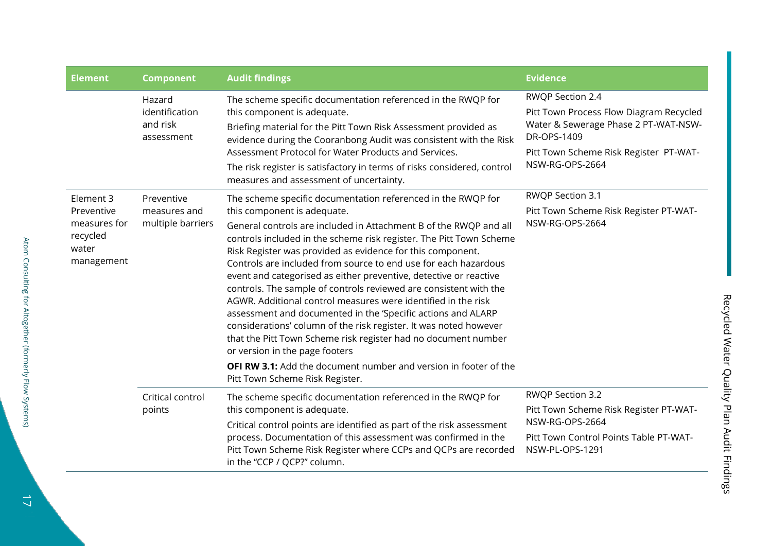| <b>Element</b>                                                             | <b>Component</b>                                   | <b>Audit findings</b>                                                                                                                                                                                                                                                                                                                                                                                                                                                                                                                                                                                                                                                                                                                                                                                                                                                                                                                      | <b>Evidence</b>                                                                                                                                                                 |
|----------------------------------------------------------------------------|----------------------------------------------------|--------------------------------------------------------------------------------------------------------------------------------------------------------------------------------------------------------------------------------------------------------------------------------------------------------------------------------------------------------------------------------------------------------------------------------------------------------------------------------------------------------------------------------------------------------------------------------------------------------------------------------------------------------------------------------------------------------------------------------------------------------------------------------------------------------------------------------------------------------------------------------------------------------------------------------------------|---------------------------------------------------------------------------------------------------------------------------------------------------------------------------------|
|                                                                            | Hazard<br>identification<br>and risk<br>assessment | The scheme specific documentation referenced in the RWQP for<br>this component is adequate.<br>Briefing material for the Pitt Town Risk Assessment provided as<br>evidence during the Cooranbong Audit was consistent with the Risk<br>Assessment Protocol for Water Products and Services.<br>The risk register is satisfactory in terms of risks considered, control<br>measures and assessment of uncertainty.                                                                                                                                                                                                                                                                                                                                                                                                                                                                                                                          | RWQP Section 2.4<br>Pitt Town Process Flow Diagram Recycled<br>Water & Sewerage Phase 2 PT-WAT-NSW-<br>DR-OPS-1409<br>Pitt Town Scheme Risk Register PT-WAT-<br>NSW-RG-OPS-2664 |
| Element 3<br>Preventive<br>measures for<br>recycled<br>water<br>management | Preventive<br>measures and<br>multiple barriers    | The scheme specific documentation referenced in the RWQP for<br>this component is adequate.<br>General controls are included in Attachment B of the RWQP and all<br>controls included in the scheme risk register. The Pitt Town Scheme<br>Risk Register was provided as evidence for this component.<br>Controls are included from source to end use for each hazardous<br>event and categorised as either preventive, detective or reactive<br>controls. The sample of controls reviewed are consistent with the<br>AGWR. Additional control measures were identified in the risk<br>assessment and documented in the 'Specific actions and ALARP<br>considerations' column of the risk register. It was noted however<br>that the Pitt Town Scheme risk register had no document number<br>or version in the page footers<br><b>OFI RW 3.1:</b> Add the document number and version in footer of the<br>Pitt Town Scheme Risk Register. | RWQP Section 3.1<br>Pitt Town Scheme Risk Register PT-WAT-<br>NSW-RG-OPS-2664                                                                                                   |
|                                                                            | Critical control<br>points                         | The scheme specific documentation referenced in the RWQP for<br>this component is adequate.<br>Critical control points are identified as part of the risk assessment<br>process. Documentation of this assessment was confirmed in the<br>Pitt Town Scheme Risk Register where CCPs and QCPs are recorded<br>in the "CCP / QCP?" column.                                                                                                                                                                                                                                                                                                                                                                                                                                                                                                                                                                                                   | RWQP Section 3.2<br>Pitt Town Scheme Risk Register PT-WAT-<br>NSW-RG-OPS-2664<br>Pitt Town Control Points Table PT-WAT-<br>NSW-PL-OPS-1291                                      |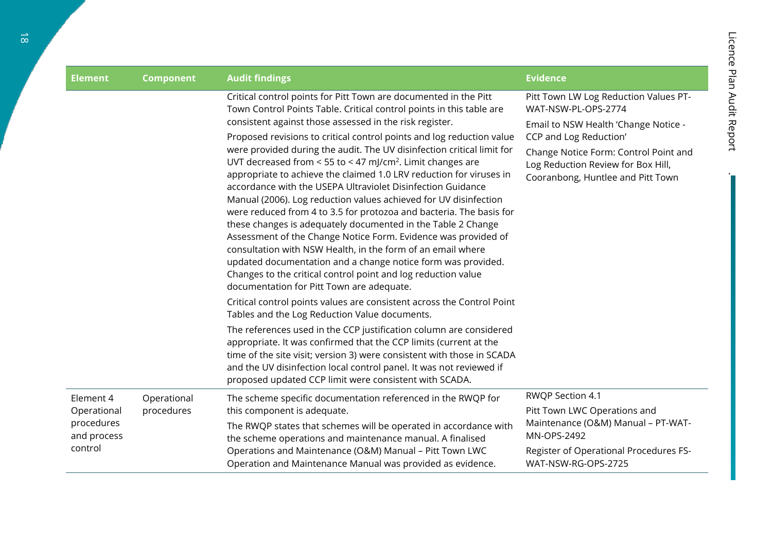| <b>Element</b>                       | <b>Component</b>          | <b>Audit findings</b>                                                                                                                                                                                                                                                                                                                                                                                                                                                                                                                                                                                                                                                                                                                                                                                                                                                                                                                                                                                                                                                                            | <b>Evidence</b>                                                                                                                                                                                                                                    |
|--------------------------------------|---------------------------|--------------------------------------------------------------------------------------------------------------------------------------------------------------------------------------------------------------------------------------------------------------------------------------------------------------------------------------------------------------------------------------------------------------------------------------------------------------------------------------------------------------------------------------------------------------------------------------------------------------------------------------------------------------------------------------------------------------------------------------------------------------------------------------------------------------------------------------------------------------------------------------------------------------------------------------------------------------------------------------------------------------------------------------------------------------------------------------------------|----------------------------------------------------------------------------------------------------------------------------------------------------------------------------------------------------------------------------------------------------|
|                                      |                           | Critical control points for Pitt Town are documented in the Pitt<br>Town Control Points Table. Critical control points in this table are<br>consistent against those assessed in the risk register.<br>Proposed revisions to critical control points and log reduction value<br>were provided during the audit. The UV disinfection critical limit for<br>UVT decreased from < 55 to < 47 mJ/cm <sup>2</sup> . Limit changes are<br>appropriate to achieve the claimed 1.0 LRV reduction for viruses in<br>accordance with the USEPA Ultraviolet Disinfection Guidance<br>Manual (2006). Log reduction values achieved for UV disinfection<br>were reduced from 4 to 3.5 for protozoa and bacteria. The basis for<br>these changes is adequately documented in the Table 2 Change<br>Assessment of the Change Notice Form. Evidence was provided of<br>consultation with NSW Health, in the form of an email where<br>updated documentation and a change notice form was provided.<br>Changes to the critical control point and log reduction value<br>documentation for Pitt Town are adequate. | Pitt Town LW Log Reduction Values PT-<br>WAT-NSW-PL-OPS-2774<br>Email to NSW Health 'Change Notice -<br>CCP and Log Reduction'<br>Change Notice Form: Control Point and<br>Log Reduction Review for Box Hill,<br>Cooranbong, Huntlee and Pitt Town |
|                                      |                           | Critical control points values are consistent across the Control Point<br>Tables and the Log Reduction Value documents.<br>The references used in the CCP justification column are considered<br>appropriate. It was confirmed that the CCP limits (current at the                                                                                                                                                                                                                                                                                                                                                                                                                                                                                                                                                                                                                                                                                                                                                                                                                               |                                                                                                                                                                                                                                                    |
|                                      |                           | time of the site visit; version 3) were consistent with those in SCADA<br>and the UV disinfection local control panel. It was not reviewed if<br>proposed updated CCP limit were consistent with SCADA.                                                                                                                                                                                                                                                                                                                                                                                                                                                                                                                                                                                                                                                                                                                                                                                                                                                                                          |                                                                                                                                                                                                                                                    |
| Element 4<br>Operational             | Operational<br>procedures | The scheme specific documentation referenced in the RWQP for<br>this component is adequate.                                                                                                                                                                                                                                                                                                                                                                                                                                                                                                                                                                                                                                                                                                                                                                                                                                                                                                                                                                                                      | RWQP Section 4.1<br>Pitt Town LWC Operations and<br>Maintenance (O&M) Manual - PT-WAT-                                                                                                                                                             |
| procedures<br>and process<br>control |                           | The RWQP states that schemes will be operated in accordance with<br>the scheme operations and maintenance manual. A finalised<br>Operations and Maintenance (O&M) Manual - Pitt Town LWC                                                                                                                                                                                                                                                                                                                                                                                                                                                                                                                                                                                                                                                                                                                                                                                                                                                                                                         | MN-OPS-2492<br>Register of Operational Procedures FS-                                                                                                                                                                                              |
|                                      |                           | Operation and Maintenance Manual was provided as evidence.                                                                                                                                                                                                                                                                                                                                                                                                                                                                                                                                                                                                                                                                                                                                                                                                                                                                                                                                                                                                                                       | WAT-NSW-RG-OPS-2725                                                                                                                                                                                                                                |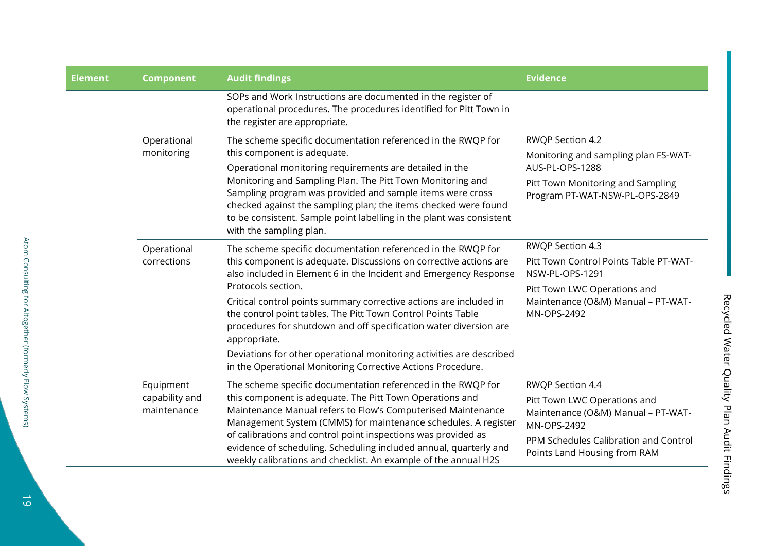| <b>Element</b> | <b>Component</b>                           | <b>Audit findings</b>                                                                                                                                                                                                                                                                                                                                                                                                                                                                                                                                                                          | <b>Evidence</b>                                                                                                                                                                |
|----------------|--------------------------------------------|------------------------------------------------------------------------------------------------------------------------------------------------------------------------------------------------------------------------------------------------------------------------------------------------------------------------------------------------------------------------------------------------------------------------------------------------------------------------------------------------------------------------------------------------------------------------------------------------|--------------------------------------------------------------------------------------------------------------------------------------------------------------------------------|
|                |                                            | SOPs and Work Instructions are documented in the register of<br>operational procedures. The procedures identified for Pitt Town in<br>the register are appropriate.                                                                                                                                                                                                                                                                                                                                                                                                                            |                                                                                                                                                                                |
|                | Operational<br>monitoring                  | The scheme specific documentation referenced in the RWQP for<br>this component is adequate.<br>Operational monitoring requirements are detailed in the<br>Monitoring and Sampling Plan. The Pitt Town Monitoring and<br>Sampling program was provided and sample items were cross<br>checked against the sampling plan; the items checked were found<br>to be consistent. Sample point labelling in the plant was consistent<br>with the sampling plan.                                                                                                                                        | RWQP Section 4.2<br>Monitoring and sampling plan FS-WAT-<br>AUS-PL-OPS-1288<br>Pitt Town Monitoring and Sampling<br>Program PT-WAT-NSW-PL-OPS-2849                             |
|                | Operational<br>corrections                 | The scheme specific documentation referenced in the RWQP for<br>this component is adequate. Discussions on corrective actions are<br>also included in Element 6 in the Incident and Emergency Response<br>Protocols section.<br>Critical control points summary corrective actions are included in<br>the control point tables. The Pitt Town Control Points Table<br>procedures for shutdown and off specification water diversion are<br>appropriate.<br>Deviations for other operational monitoring activities are described<br>in the Operational Monitoring Corrective Actions Procedure. | RWQP Section 4.3<br>Pitt Town Control Points Table PT-WAT-<br>NSW-PL-OPS-1291<br>Pitt Town LWC Operations and<br>Maintenance (O&M) Manual - PT-WAT-<br>MN-OPS-2492             |
|                | Equipment<br>capability and<br>maintenance | The scheme specific documentation referenced in the RWQP for<br>this component is adequate. The Pitt Town Operations and<br>Maintenance Manual refers to Flow's Computerised Maintenance<br>Management System (CMMS) for maintenance schedules. A register<br>of calibrations and control point inspections was provided as<br>evidence of scheduling. Scheduling included annual, quarterly and<br>weekly calibrations and checklist. An example of the annual H2S                                                                                                                            | RWQP Section 4.4<br>Pitt Town LWC Operations and<br>Maintenance (O&M) Manual - PT-WAT-<br>MN-OPS-2492<br>PPM Schedules Calibration and Control<br>Points Land Housing from RAM |

Recycled Water Quality Plan Audit Findings

Recycled Water Quality Plan Audit Findings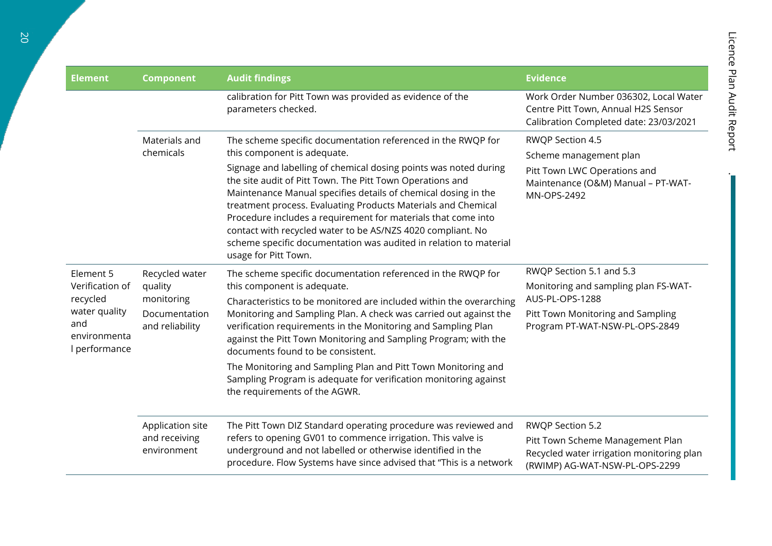| <b>Element</b>                                                                                    | <b>Component</b>                                                            | <b>Audit findings</b>                                                                                                                                                                                                                                                                                                                                                                                                                                                                                                                                                                        | <b>Evidence</b>                                                                                                                                            |
|---------------------------------------------------------------------------------------------------|-----------------------------------------------------------------------------|----------------------------------------------------------------------------------------------------------------------------------------------------------------------------------------------------------------------------------------------------------------------------------------------------------------------------------------------------------------------------------------------------------------------------------------------------------------------------------------------------------------------------------------------------------------------------------------------|------------------------------------------------------------------------------------------------------------------------------------------------------------|
|                                                                                                   |                                                                             | calibration for Pitt Town was provided as evidence of the<br>parameters checked.                                                                                                                                                                                                                                                                                                                                                                                                                                                                                                             | Work Order Number 036302, Local Water<br>Centre Pitt Town, Annual H2S Sensor<br>Calibration Completed date: 23/03/2021                                     |
|                                                                                                   | Materials and<br>chemicals                                                  | The scheme specific documentation referenced in the RWQP for<br>this component is adequate.<br>Signage and labelling of chemical dosing points was noted during<br>the site audit of Pitt Town. The Pitt Town Operations and<br>Maintenance Manual specifies details of chemical dosing in the<br>treatment process. Evaluating Products Materials and Chemical<br>Procedure includes a requirement for materials that come into<br>contact with recycled water to be AS/NZS 4020 compliant. No<br>scheme specific documentation was audited in relation to material<br>usage for Pitt Town. | RWQP Section 4.5<br>Scheme management plan<br>Pitt Town LWC Operations and<br>Maintenance (O&M) Manual - PT-WAT-<br>MN-OPS-2492                            |
| Element 5<br>Verification of<br>recycled<br>water quality<br>and<br>environmenta<br>l performance | Recycled water<br>quality<br>monitoring<br>Documentation<br>and reliability | The scheme specific documentation referenced in the RWQP for<br>this component is adequate.<br>Characteristics to be monitored are included within the overarching<br>Monitoring and Sampling Plan. A check was carried out against the<br>verification requirements in the Monitoring and Sampling Plan<br>against the Pitt Town Monitoring and Sampling Program; with the<br>documents found to be consistent.<br>The Monitoring and Sampling Plan and Pitt Town Monitoring and<br>Sampling Program is adequate for verification monitoring against<br>the requirements of the AGWR.       | RWQP Section 5.1 and 5.3<br>Monitoring and sampling plan FS-WAT-<br>AUS-PL-OPS-1288<br>Pitt Town Monitoring and Sampling<br>Program PT-WAT-NSW-PL-OPS-2849 |
|                                                                                                   | Application site<br>and receiving<br>environment                            | The Pitt Town DIZ Standard operating procedure was reviewed and<br>refers to opening GV01 to commence irrigation. This valve is<br>underground and not labelled or otherwise identified in the<br>procedure. Flow Systems have since advised that "This is a network                                                                                                                                                                                                                                                                                                                         | RWQP Section 5.2<br>Pitt Town Scheme Management Plan<br>Recycled water irrigation monitoring plan<br>(RWIMP) AG-WAT-NSW-PL-OPS-2299                        |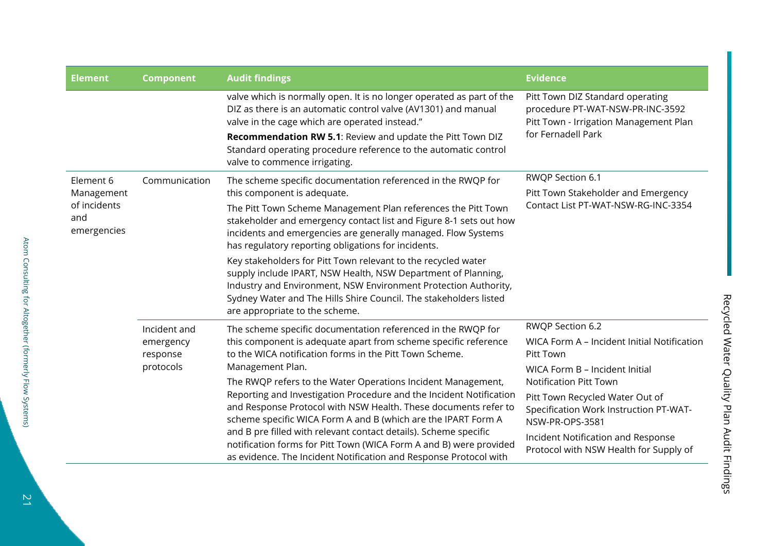| <b>Element</b>                     | <b>Component</b>                                   | <b>Audit findings</b>                                                                                                                                                                                                                                                                                    | <b>Evidence</b>                                                                                                |
|------------------------------------|----------------------------------------------------|----------------------------------------------------------------------------------------------------------------------------------------------------------------------------------------------------------------------------------------------------------------------------------------------------------|----------------------------------------------------------------------------------------------------------------|
|                                    |                                                    | valve which is normally open. It is no longer operated as part of the<br>DIZ as there is an automatic control valve (AV1301) and manual<br>valve in the cage which are operated instead."                                                                                                                | Pitt Town DIZ Standard operating<br>procedure PT-WAT-NSW-PR-INC-3592<br>Pitt Town - Irrigation Management Plan |
|                                    |                                                    | Recommendation RW 5.1: Review and update the Pitt Town DIZ<br>Standard operating procedure reference to the automatic control<br>valve to commence irrigating.                                                                                                                                           | for Fernadell Park                                                                                             |
| Element 6<br>Management            | Communication                                      | The scheme specific documentation referenced in the RWQP for<br>this component is adequate.                                                                                                                                                                                                              | RWQP Section 6.1<br>Pitt Town Stakeholder and Emergency                                                        |
| of incidents<br>and<br>emergencies |                                                    | The Pitt Town Scheme Management Plan references the Pitt Town<br>stakeholder and emergency contact list and Figure 8-1 sets out how<br>incidents and emergencies are generally managed. Flow Systems<br>has regulatory reporting obligations for incidents.                                              | Contact List PT-WAT-NSW-RG-INC-3354                                                                            |
|                                    |                                                    | Key stakeholders for Pitt Town relevant to the recycled water<br>supply include IPART, NSW Health, NSW Department of Planning,<br>Industry and Environment, NSW Environment Protection Authority,<br>Sydney Water and The Hills Shire Council. The stakeholders listed<br>are appropriate to the scheme. |                                                                                                                |
|                                    | Incident and<br>emergency<br>response<br>protocols | The scheme specific documentation referenced in the RWQP for                                                                                                                                                                                                                                             | RWQP Section 6.2                                                                                               |
|                                    |                                                    | this component is adequate apart from scheme specific reference<br>to the WICA notification forms in the Pitt Town Scheme.                                                                                                                                                                               | WICA Form A - Incident Initial Notification<br>Pitt Town                                                       |
|                                    |                                                    | Management Plan.                                                                                                                                                                                                                                                                                         | WICA Form B - Incident Initial                                                                                 |
|                                    |                                                    | The RWQP refers to the Water Operations Incident Management,<br>Reporting and Investigation Procedure and the Incident Notification                                                                                                                                                                      | <b>Notification Pitt Town</b>                                                                                  |
|                                    |                                                    | and Response Protocol with NSW Health. These documents refer to<br>scheme specific WICA Form A and B (which are the IPART Form A                                                                                                                                                                         | Pitt Town Recycled Water Out of<br>Specification Work Instruction PT-WAT-<br>NSW-PR-OPS-3581                   |
|                                    |                                                    | and B pre filled with relevant contact details). Scheme specific<br>notification forms for Pitt Town (WICA Form A and B) were provided<br>as evidence. The Incident Notification and Response Protocol with                                                                                              | Incident Notification and Response<br>Protocol with NSW Health for Supply of                                   |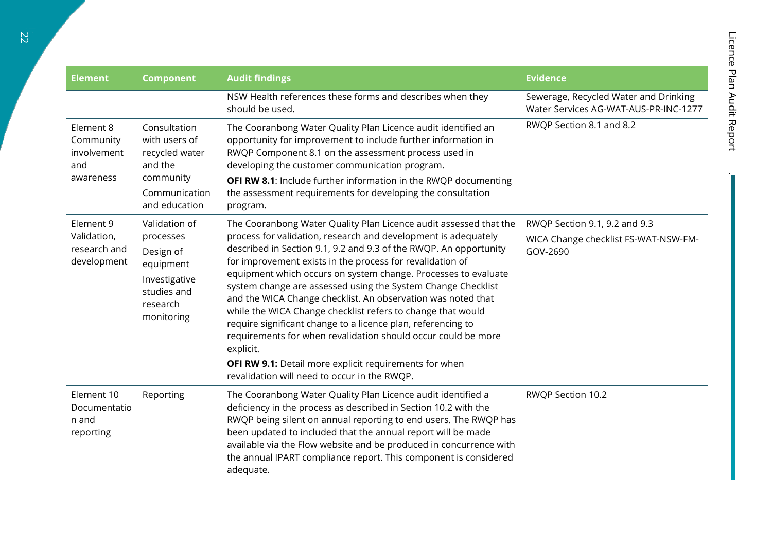| <b>Element</b><br><b>Component</b>                        |                                                                                                                | <b>Audit findings</b>                                                                                                                                                                                                                                                                                                                                                                                                                                                                                                                                                                                                                                                                                                                                                                          | <b>Evidence</b>                                                                   |  |
|-----------------------------------------------------------|----------------------------------------------------------------------------------------------------------------|------------------------------------------------------------------------------------------------------------------------------------------------------------------------------------------------------------------------------------------------------------------------------------------------------------------------------------------------------------------------------------------------------------------------------------------------------------------------------------------------------------------------------------------------------------------------------------------------------------------------------------------------------------------------------------------------------------------------------------------------------------------------------------------------|-----------------------------------------------------------------------------------|--|
|                                                           |                                                                                                                | NSW Health references these forms and describes when they<br>should be used.                                                                                                                                                                                                                                                                                                                                                                                                                                                                                                                                                                                                                                                                                                                   | Sewerage, Recycled Water and Drinking<br>Water Services AG-WAT-AUS-PR-INC-1277    |  |
| Element 8<br>Community<br>involvement<br>and<br>awareness | Consultation<br>with users of<br>recycled water<br>and the<br>community<br>Communication<br>and education      | The Cooranbong Water Quality Plan Licence audit identified an<br>opportunity for improvement to include further information in<br>RWQP Component 8.1 on the assessment process used in<br>developing the customer communication program.<br>OFI RW 8.1: Include further information in the RWQP documenting<br>the assessment requirements for developing the consultation<br>program.                                                                                                                                                                                                                                                                                                                                                                                                         | RWQP Section 8.1 and 8.2                                                          |  |
| Element 9<br>Validation,<br>research and<br>development   | Validation of<br>processes<br>Design of<br>equipment<br>Investigative<br>studies and<br>research<br>monitoring | The Cooranbong Water Quality Plan Licence audit assessed that the<br>process for validation, research and development is adequately<br>described in Section 9.1, 9.2 and 9.3 of the RWQP. An opportunity<br>for improvement exists in the process for revalidation of<br>equipment which occurs on system change. Processes to evaluate<br>system change are assessed using the System Change Checklist<br>and the WICA Change checklist. An observation was noted that<br>while the WICA Change checklist refers to change that would<br>require significant change to a licence plan, referencing to<br>requirements for when revalidation should occur could be more<br>explicit.<br>OFI RW 9.1: Detail more explicit requirements for when<br>revalidation will need to occur in the RWQP. | RWQP Section 9.1, 9.2 and 9.3<br>WICA Change checklist FS-WAT-NSW-FM-<br>GOV-2690 |  |
| Element 10<br>Documentatio<br>n and<br>reporting          | Reporting                                                                                                      | The Cooranbong Water Quality Plan Licence audit identified a<br>deficiency in the process as described in Section 10.2 with the<br>RWQP being silent on annual reporting to end users. The RWQP has<br>been updated to included that the annual report will be made<br>available via the Flow website and be produced in concurrence with<br>the annual IPART compliance report. This component is considered<br>adequate.                                                                                                                                                                                                                                                                                                                                                                     | RWQP Section 10.2                                                                 |  |

 $\overline{a}$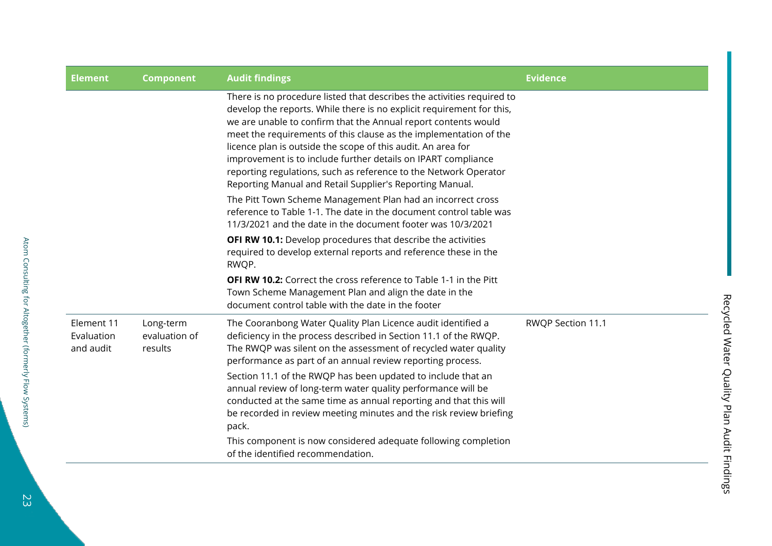| <b>Element</b>                        | <b>Component</b>                      | <b>Audit findings</b>                                                                                                                                                                                                                                                                                                                                                                                                                                                                                                                                   | <b>Evidence</b>   |
|---------------------------------------|---------------------------------------|---------------------------------------------------------------------------------------------------------------------------------------------------------------------------------------------------------------------------------------------------------------------------------------------------------------------------------------------------------------------------------------------------------------------------------------------------------------------------------------------------------------------------------------------------------|-------------------|
|                                       |                                       | There is no procedure listed that describes the activities required to<br>develop the reports. While there is no explicit requirement for this,<br>we are unable to confirm that the Annual report contents would<br>meet the requirements of this clause as the implementation of the<br>licence plan is outside the scope of this audit. An area for<br>improvement is to include further details on IPART compliance<br>reporting regulations, such as reference to the Network Operator<br>Reporting Manual and Retail Supplier's Reporting Manual. |                   |
|                                       |                                       | The Pitt Town Scheme Management Plan had an incorrect cross<br>reference to Table 1-1. The date in the document control table was<br>11/3/2021 and the date in the document footer was 10/3/2021                                                                                                                                                                                                                                                                                                                                                        |                   |
|                                       |                                       | <b>OFI RW 10.1:</b> Develop procedures that describe the activities<br>required to develop external reports and reference these in the<br>RWQP.                                                                                                                                                                                                                                                                                                                                                                                                         |                   |
|                                       |                                       | <b>OFI RW 10.2:</b> Correct the cross reference to Table 1-1 in the Pitt<br>Town Scheme Management Plan and align the date in the<br>document control table with the date in the footer                                                                                                                                                                                                                                                                                                                                                                 |                   |
| Element 11<br>Evaluation<br>and audit | Long-term<br>evaluation of<br>results | The Cooranbong Water Quality Plan Licence audit identified a<br>deficiency in the process described in Section 11.1 of the RWQP.<br>The RWQP was silent on the assessment of recycled water quality<br>performance as part of an annual review reporting process.                                                                                                                                                                                                                                                                                       | RWQP Section 11.1 |
|                                       |                                       | Section 11.1 of the RWQP has been updated to include that an<br>annual review of long-term water quality performance will be<br>conducted at the same time as annual reporting and that this will<br>be recorded in review meeting minutes and the risk review briefing<br>pack.                                                                                                                                                                                                                                                                        |                   |
|                                       |                                       | This component is now considered adequate following completion<br>of the identified recommendation.                                                                                                                                                                                                                                                                                                                                                                                                                                                     |                   |

Recycled Water Quality Plan Audit Findings

Recycled Water Quality Plan Audit Findings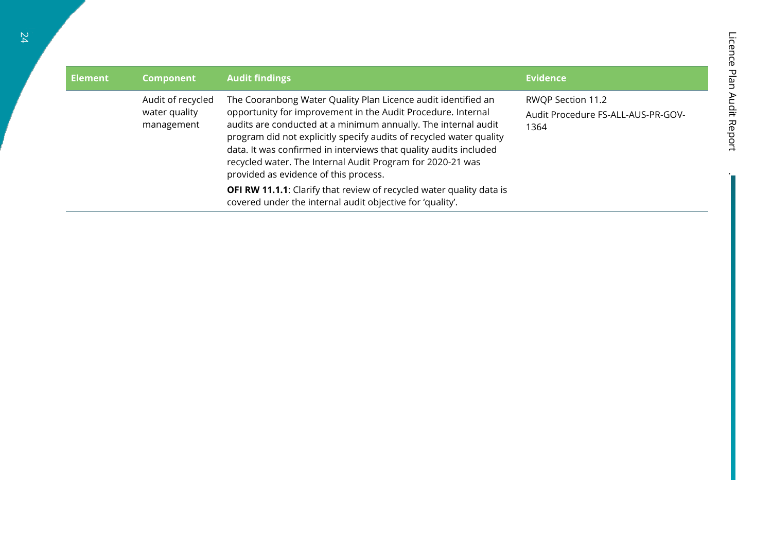| <b>Element</b> | <b>Component</b>                                 | <b>Audit findings</b>                                                                                                                                                                                                                                                                                                                                                                                                                              | <b>Evidence</b>                                                 |
|----------------|--------------------------------------------------|----------------------------------------------------------------------------------------------------------------------------------------------------------------------------------------------------------------------------------------------------------------------------------------------------------------------------------------------------------------------------------------------------------------------------------------------------|-----------------------------------------------------------------|
|                | Audit of recycled<br>water quality<br>management | The Cooranbong Water Quality Plan Licence audit identified an<br>opportunity for improvement in the Audit Procedure. Internal<br>audits are conducted at a minimum annually. The internal audit<br>program did not explicitly specify audits of recycled water quality<br>data. It was confirmed in interviews that quality audits included<br>recycled water. The Internal Audit Program for 2020-21 was<br>provided as evidence of this process. | RWQP Section 11.2<br>Audit Procedure FS-ALL-AUS-PR-GOV-<br>1364 |
|                |                                                  | <b>OFI RW 11.1.1:</b> Clarify that review of recycled water quality data is<br>covered under the internal audit objective for 'quality'.                                                                                                                                                                                                                                                                                                           |                                                                 |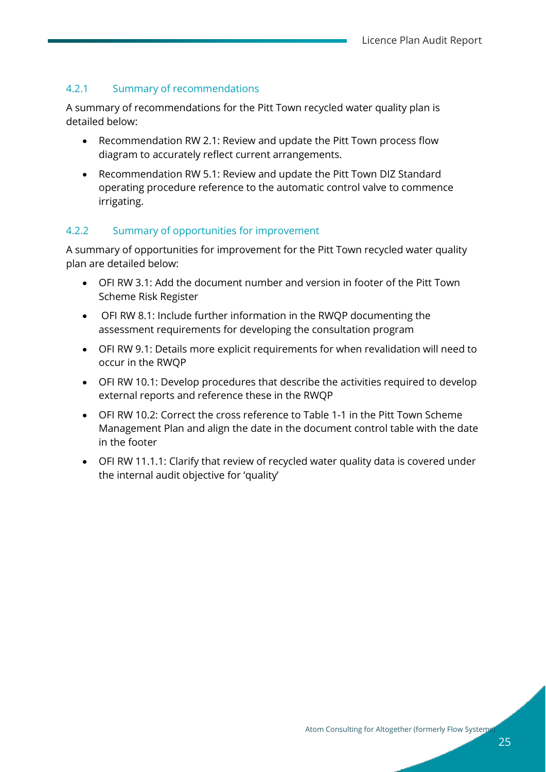#### <span id="page-26-0"></span>4.2.1 Summary of recommendations

A summary of recommendations for the Pitt Town recycled water quality plan is detailed below:

- Recommendation RW 2.1: Review and update the Pitt Town process flow diagram to accurately reflect current arrangements.
- Recommendation RW 5.1: Review and update the Pitt Town DIZ Standard operating procedure reference to the automatic control valve to commence irrigating.

#### <span id="page-26-1"></span>4.2.2 Summary of opportunities for improvement

A summary of opportunities for improvement for the Pitt Town recycled water quality plan are detailed below:

- OFI RW 3.1: Add the document number and version in footer of the Pitt Town Scheme Risk Register
- OFI RW 8.1: Include further information in the RWQP documenting the assessment requirements for developing the consultation program
- OFI RW 9.1: Details more explicit requirements for when revalidation will need to occur in the RWQP
- OFI RW 10.1: Develop procedures that describe the activities required to develop external reports and reference these in the RWQP
- OFI RW 10.2: Correct the cross reference to Table 1-1 in the Pitt Town Scheme Management Plan and align the date in the document control table with the date in the footer
- OFI RW 11.1.1: Clarify that review of recycled water quality data is covered under the internal audit objective for 'quality'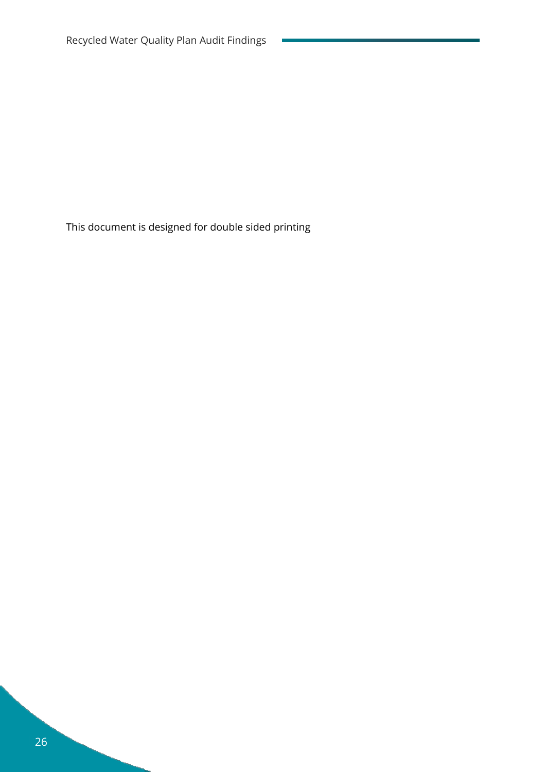This document is designed for double sided printing